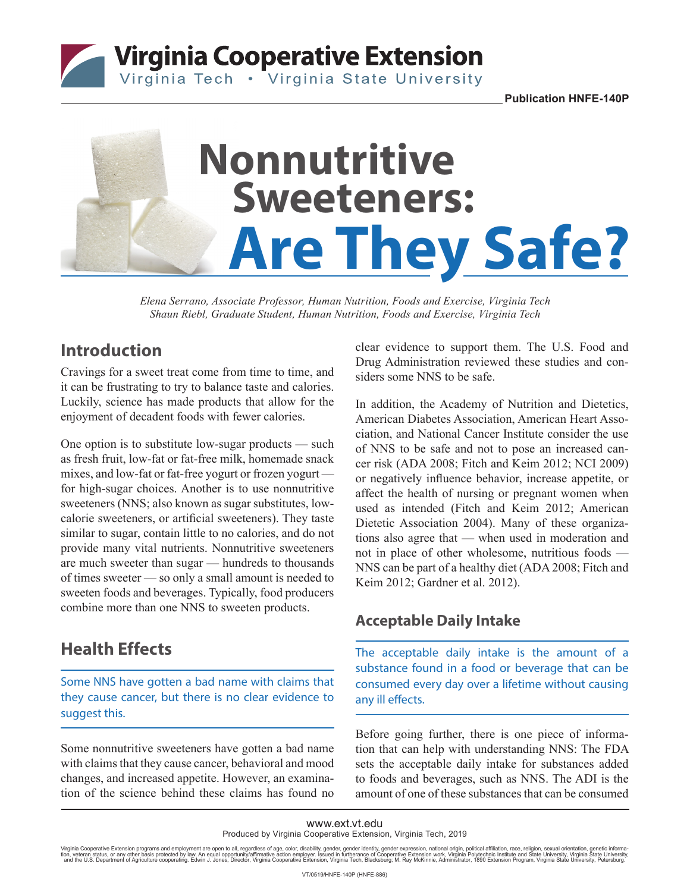**Virginia Cooperative Extension** 

Virginia Tech . Virginia State University

**Publication HNFE-140P**

# **Nonnutritive Are They Safe? Sweeteners:**

*Elena Serrano, Associate Professor, Human Nutrition, Foods and Exercise, Virginia Tech Shaun Riebl, Graduate Student, Human Nutrition, Foods and Exercise, Virginia Tech*

# **Introduction**

Cravings for a sweet treat come from time to time, and it can be frustrating to try to balance taste and calories. Luckily, science has made products that allow for the enjoyment of decadent foods with fewer calories.

One option is to substitute low-sugar products — such as fresh fruit, low-fat or fat-free milk, homemade snack mixes, and low-fat or fat-free yogurt or frozen yogurt for high-sugar choices. Another is to use nonnutritive sweeteners (NNS; also known as sugar substitutes, lowcalorie sweeteners, or artificial sweeteners). They taste similar to sugar, contain little to no calories, and do not provide many vital nutrients. Nonnutritive sweeteners are much sweeter than sugar — hundreds to thousands of times sweeter — so only a small amount is needed to sweeten foods and beverages. Typically, food producers combine more than one NNS to sweeten products.

# **Health Effects**

Some NNS have gotten a bad name with claims that they cause cancer, but there is no clear evidence to suggest this.

Some nonnutritive sweeteners have gotten a bad name with claims that they cause cancer, behavioral and mood changes, and increased appetite. However, an examination of the science behind these claims has found no clear evidence to support them. The U.S. Food and Drug Administration reviewed these studies and considers some NNS to be safe.

In addition, the Academy of Nutrition and Dietetics, American Diabetes Association, American Heart Association, and National Cancer Institute consider the use of NNS to be safe and not to pose an increased cancer risk (ADA 2008; Fitch and Keim 2012; NCI 2009) or negatively influence behavior, increase appetite, or affect the health of nursing or pregnant women when used as intended (Fitch and Keim 2012; American Dietetic Association 2004). Many of these organizations also agree that — when used in moderation and not in place of other wholesome, nutritious foods — NNS can be part of a healthy diet (ADA 2008; Fitch and Keim 2012; Gardner et al. 2012).

### **Acceptable Daily Intake**

The acceptable daily intake is the amount of a substance found in a food or beverage that can be consumed every day over a lifetime without causing any ill effects.

Before going further, there is one piece of information that can help with understanding NNS: The FDA sets the acceptable daily intake for substances added to foods and beverages, such as NNS. The ADI is the amount of one of these substances that can be consumed

#### www.ext.vt.edu Produced by Virginia Cooperative Extension, Virginia Tech, 2019

Virginia Cooperative Extension programs and employment are open to all, regardless of age, color, disability, gender, gender identity, gender expression, national origin, political affiliation, race, religion, sexual orien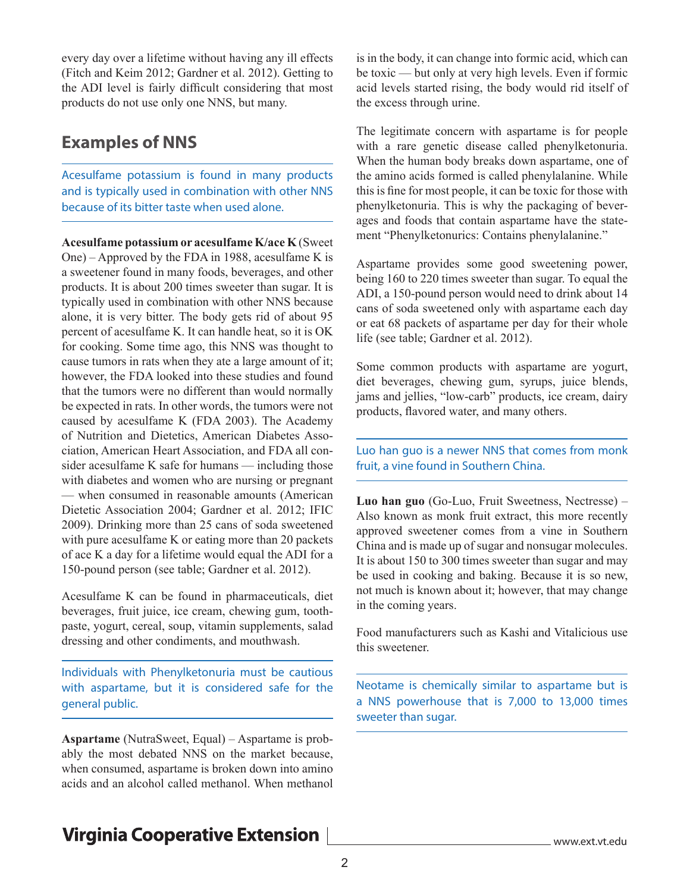every day over a lifetime without having any ill effects (Fitch and Keim 2012; Gardner et al. 2012). Getting to the ADI level is fairly difficult considering that most products do not use only one NNS, but many.

## **Examples of NNS**

Acesulfame potassium is found in many products and is typically used in combination with other NNS because of its bitter taste when used alone.

**Acesulfame potassium or acesulfame K/ace K** (Sweet One) – Approved by the FDA in 1988, acesulfame K is a sweetener found in many foods, beverages, and other products. It is about 200 times sweeter than sugar. It is typically used in combination with other NNS because alone, it is very bitter. The body gets rid of about 95 percent of acesulfame K. It can handle heat, so it is OK for cooking. Some time ago, this NNS was thought to cause tumors in rats when they ate a large amount of it; however, the FDA looked into these studies and found that the tumors were no different than would normally be expected in rats. In other words, the tumors were not caused by acesulfame K (FDA 2003). The Academy of Nutrition and Dietetics, American Diabetes Association, American Heart Association, and FDA all consider acesulfame K safe for humans — including those with diabetes and women who are nursing or pregnant — when consumed in reasonable amounts (American Dietetic Association 2004; Gardner et al. 2012; IFIC 2009). Drinking more than 25 cans of soda sweetened with pure acesulfame K or eating more than 20 packets of ace K a day for a lifetime would equal the ADI for a 150-pound person (see table; Gardner et al. 2012).

Acesulfame K can be found in pharmaceuticals, diet beverages, fruit juice, ice cream, chewing gum, toothpaste, yogurt, cereal, soup, vitamin supplements, salad dressing and other condiments, and mouthwash.

Individuals with Phenylketonuria must be cautious with aspartame, but it is considered safe for the general public.

**Aspartame** (NutraSweet, Equal) – Aspartame is probably the most debated NNS on the market because, when consumed, aspartame is broken down into amino acids and an alcohol called methanol. When methanol

is in the body, it can change into formic acid, which can be toxic — but only at very high levels. Even if formic acid levels started rising, the body would rid itself of the excess through urine.

The legitimate concern with aspartame is for people with a rare genetic disease called phenylketonuria. When the human body breaks down aspartame, one of the amino acids formed is called phenylalanine. While this is fine for most people, it can be toxic for those with phenylketonuria. This is why the packaging of beverages and foods that contain aspartame have the statement "Phenylketonurics: Contains phenylalanine."

Aspartame provides some good sweetening power, being 160 to 220 times sweeter than sugar. To equal the ADI, a 150-pound person would need to drink about 14 cans of soda sweetened only with aspartame each day or eat 68 packets of aspartame per day for their whole life (see table; Gardner et al. 2012).

Some common products with aspartame are yogurt, diet beverages, chewing gum, syrups, juice blends, jams and jellies, "low-carb" products, ice cream, dairy products, flavored water, and many others.

Luo han guo is a newer NNS that comes from monk fruit, a vine found in Southern China.

**Luo han guo** (Go-Luo, Fruit Sweetness, Nectresse) – Also known as monk fruit extract, this more recently approved sweetener comes from a vine in Southern China and is made up of sugar and nonsugar molecules. It is about 150 to 300 times sweeter than sugar and may be used in cooking and baking. Because it is so new, not much is known about it; however, that may change in the coming years.

Food manufacturers such as Kashi and Vitalicious use this sweetener.

Neotame is chemically similar to aspartame but is a NNS powerhouse that is 7,000 to 13,000 times sweeter than sugar.

# **Virginia Cooperative Extension**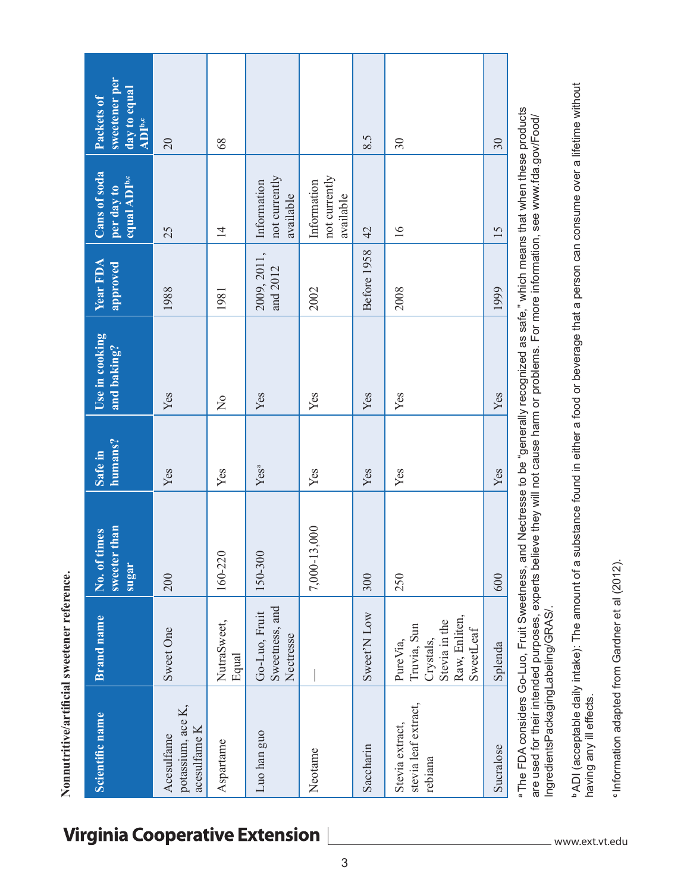| Scientific name                                    | <b>Brand name</b>                                                                   | sweeter than<br>times<br>No. of<br>sugar | humans?<br>Safe in | Use in cooking<br>and baking? | Year FDA<br>approved                                                                                                 | Cans of soda<br>equal ADI <sup>b,c</sup><br>per day to | sweetener per<br>day to equal<br>Packets of<br><b>ADI</b> b,c |
|----------------------------------------------------|-------------------------------------------------------------------------------------|------------------------------------------|--------------------|-------------------------------|----------------------------------------------------------------------------------------------------------------------|--------------------------------------------------------|---------------------------------------------------------------|
| potassium, ace K,<br>acesulfame K<br>Acesulfame    | Sweet One                                                                           | 200                                      | Yes                | Yes                           | 1988                                                                                                                 | 25                                                     | $\overline{0}$                                                |
| Aspartame                                          | NutraSweet,<br>Equal                                                                | 160-220                                  | Yes                | $\frac{1}{2}$                 | 1981                                                                                                                 | $\overline{4}$                                         | 68                                                            |
| Luo han guo                                        | Sweetness, and<br>Go-Luo, Fruit<br>Nectresse                                        | 150-300                                  | Yes <sup>a</sup>   | Yes                           | 2009, 2011,<br>and 2012                                                                                              | not currently<br>Information<br>available              |                                                               |
| Neotame                                            |                                                                                     | 7,000-13,000                             | Yes                | Yes                           | 2002                                                                                                                 | not currently<br>Information<br>available              |                                                               |
| Saccharin                                          | Sweet'N Low                                                                         | 300                                      | Yes                | Yes                           | Before 1958                                                                                                          | 42                                                     | 8.5                                                           |
| stevia leaf extract,<br>Stevia extract,<br>rebiana | Raw, Enliten,<br>Stevia in the<br>Truvia, Sun<br>SweetLeaf<br>Crystals,<br>PureVia, | 250                                      | Yes                | Yes                           | 2008                                                                                                                 | 16                                                     | 30                                                            |
| Sucralose                                          | Splenda                                                                             | 600                                      | Yes                | Yes                           | 1999                                                                                                                 | 15                                                     | 30                                                            |
| $\begin{array}{c} 1 \\ -1 \\ -1 \end{array}$       | $\frac{1}{2}$<br>ť<br>$\frac{1}{\zeta}$                                             |                                          |                    |                               | $\mathbf{r}$ $\mathbf{r}$ $\mathbf{r}$ $\mathbf{r}$ $\mathbf{r}$ $\mathbf{r}$ $\mathbf{r}$ $\mathbf{r}$ $\mathbf{r}$ |                                                        |                                                               |

a The FDA considers Go-Luo, Fruit Sweetness, and Nectresse to be "generally recognized as safe," which means that when these products **a** The FDA considers Go-Luo, Fruit Sweetness, and Nectresse to be "generally recognized as safe," which means that when these products are used for their intended purposes, experts believe they will not cause harm or problems. For more information, see www.fda.gov/Food/ are used for their intended purposes, experts believe they will not cause harm or problems. For more information, see www.fda.gov/Food/ IngredientsPackagingLabeling/GRAS/ IngredientsPackagingLabeling/GRAS/.

"ADI (acceptable daily intake): The amount of a substance found in either a food or beverage that a person can consume over a lifetime without **b** ADI (acceptable daily intake): The amount of a substance found in either a food or beverage that a person can consume over a lifetime without having any ill effects. having any ill effects.

"Information adapted from Gardner et al (2012). **c** Information adapted from Gardner et al (2012).

# **Virginia Cooperative Extension**

**Nonnutritive/artificial sweetener reference.** 

Nonnutritive/artificial sweetener reference.

www.ext.vt.edu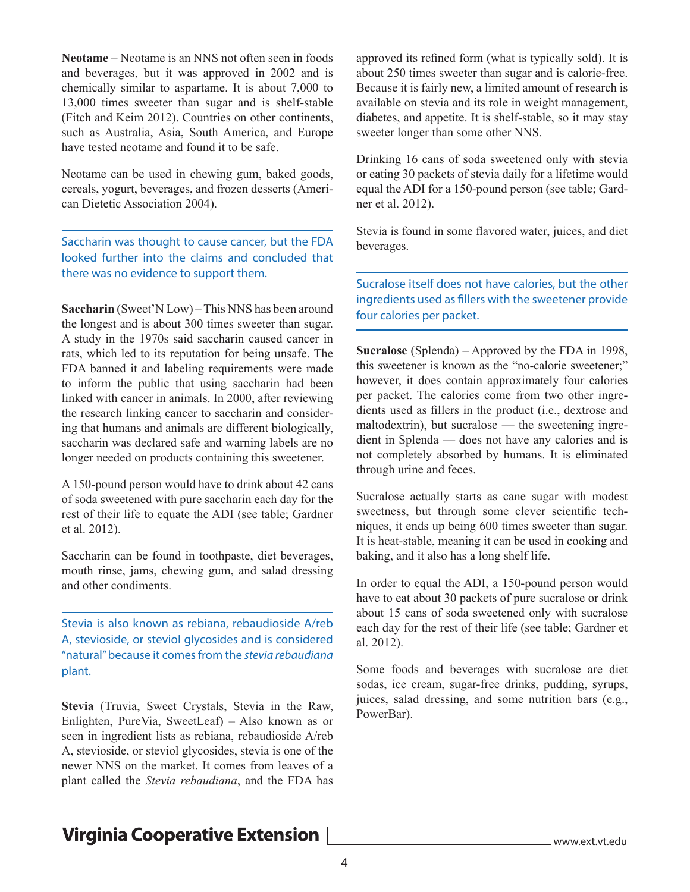**Neotame** – Neotame is an NNS not often seen in foods and beverages, but it was approved in 2002 and is chemically similar to aspartame. It is about 7,000 to 13,000 times sweeter than sugar and is shelf-stable (Fitch and Keim 2012). Countries on other continents, such as Australia, Asia, South America, and Europe have tested neotame and found it to be safe.

Neotame can be used in chewing gum, baked goods, cereals, yogurt, beverages, and frozen desserts (American Dietetic Association 2004).

Saccharin was thought to cause cancer, but the FDA looked further into the claims and concluded that there was no evidence to support them.

**Saccharin** (Sweet'N Low) – This NNS has been around the longest and is about 300 times sweeter than sugar. A study in the 1970s said saccharin caused cancer in rats, which led to its reputation for being unsafe. The FDA banned it and labeling requirements were made to inform the public that using saccharin had been linked with cancer in animals. In 2000, after reviewing the research linking cancer to saccharin and considering that humans and animals are different biologically, saccharin was declared safe and warning labels are no longer needed on products containing this sweetener.

A 150-pound person would have to drink about 42 cans of soda sweetened with pure saccharin each day for the rest of their life to equate the ADI (see table; Gardner et al. 2012).

Saccharin can be found in toothpaste, diet beverages, mouth rinse, jams, chewing gum, and salad dressing and other condiments.

Stevia is also known as rebiana, rebaudioside A/reb A, stevioside, or steviol glycosides and is considered "natural" because it comes from the *stevia rebaudiana* plant.

**Stevia** (Truvia, Sweet Crystals, Stevia in the Raw, Enlighten, PureVia, SweetLeaf) – Also known as or seen in ingredient lists as rebiana, rebaudioside A/reb A, stevioside, or steviol glycosides, stevia is one of the newer NNS on the market. It comes from leaves of a plant called the *Stevia rebaudiana*, and the FDA has approved its refined form (what is typically sold). It is about 250 times sweeter than sugar and is calorie-free. Because it is fairly new, a limited amount of research is available on stevia and its role in weight management, diabetes, and appetite. It is shelf-stable, so it may stay sweeter longer than some other NNS.

Drinking 16 cans of soda sweetened only with stevia or eating 30 packets of stevia daily for a lifetime would equal the ADI for a 150-pound person (see table; Gardner et al. 2012).

Stevia is found in some flavored water, juices, and diet beverages.

Sucralose itself does not have calories, but the other ingredients used as fillers with the sweetener provide four calories per packet.

**Sucralose** (Splenda) – Approved by the FDA in 1998, this sweetener is known as the "no-calorie sweetener;" however, it does contain approximately four calories per packet. The calories come from two other ingredients used as fillers in the product (i.e., dextrose and maltodextrin), but sucralose — the sweetening ingredient in Splenda — does not have any calories and is not completely absorbed by humans. It is eliminated through urine and feces.

Sucralose actually starts as cane sugar with modest sweetness, but through some clever scientific techniques, it ends up being 600 times sweeter than sugar. It is heat-stable, meaning it can be used in cooking and baking, and it also has a long shelf life.

In order to equal the ADI, a 150-pound person would have to eat about 30 packets of pure sucralose or drink about 15 cans of soda sweetened only with sucralose each day for the rest of their life (see table; Gardner et al. 2012).

Some foods and beverages with sucralose are diet sodas, ice cream, sugar-free drinks, pudding, syrups, juices, salad dressing, and some nutrition bars (e.g., PowerBar).

# **Virginia Cooperative Extension**